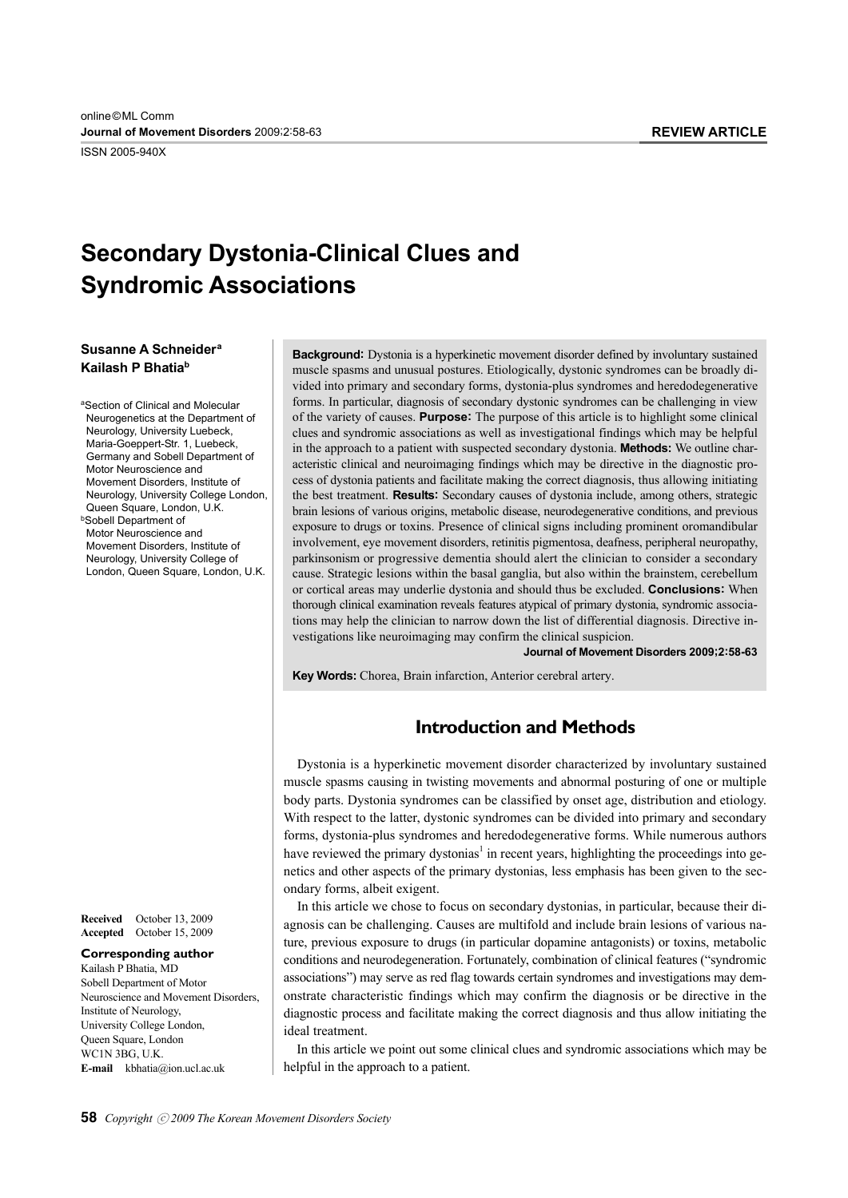ISSN 2005-940X

# **Secondary Dystonia-Clinical Clues and Syndromic Associations**

# **Susanne A Schneider<sup>a</sup> Kailash P Bhatiab**

aSection of Clinical and Molecular Neurogenetics at the Department of Neurology, University Luebeck, Maria-Goeppert-Str. 1, Luebeck, Germany and Sobell Department of Motor Neuroscience and Movement Disorders, Institute of Neurology, University College London, Queen Square, London, U.K. **bSobell Department of**  Motor Neuroscience and Movement Disorders, Institute of Neurology, University College of London, Queen Square, London, U.K.

**Received** October 13, 2009 **Accepted** October 15, 2009

#### **Corresponding author**

Kailash P Bhatia, MD Sobell Department of Motor Neuroscience and Movement Disorders, Institute of Neurology, University College London, Queen Square, London WC1N 3BG, U.K. **E-mail** kbhatia@ion.ucl.ac.uk

**Background:** Dystonia is a hyperkinetic movement disorder defined by involuntary sustained muscle spasms and unusual postures. Etiologically, dystonic syndromes can be broadly divided into primary and secondary forms, dystonia-plus syndromes and heredodegenerative forms. In particular, diagnosis of secondary dystonic syndromes can be challenging in view of the variety of causes. **Purpose:** The purpose of this article is to highlight some clinical clues and syndromic associations as well as investigational findings which may be helpful in the approach to a patient with suspected secondary dystonia. **Methods:** We outline characteristic clinical and neuroimaging findings which may be directive in the diagnostic process of dystonia patients and facilitate making the correct diagnosis, thus allowing initiating the best treatment. **Results:** Secondary causes of dystonia include, among others, strategic brain lesions of various origins, metabolic disease, neurodegenerative conditions, and previous exposure to drugs or toxins. Presence of clinical signs including prominent oromandibular involvement, eye movement disorders, retinitis pigmentosa, deafness, peripheral neuropathy, parkinsonism or progressive dementia should alert the clinician to consider a secondary cause. Strategic lesions within the basal ganglia, but also within the brainstem, cerebellum or cortical areas may underlie dystonia and should thus be excluded. **Conclusions:** When thorough clinical examination reveals features atypical of primary dystonia, syndromic associations may help the clinician to narrow down the list of differential diagnosis. Directive investigations like neuroimaging may confirm the clinical suspicion.

**Journal of Movement Disorders 2009;2:58-63**

**Key Words:** Chorea, Brain infarction, Anterior cerebral artery.

# **Introduction and Methods**

Dystonia is a hyperkinetic movement disorder characterized by involuntary sustained muscle spasms causing in twisting movements and abnormal posturing of one or multiple body parts. Dystonia syndromes can be classified by onset age, distribution and etiology. With respect to the latter, dystonic syndromes can be divided into primary and secondary forms, dystonia-plus syndromes and heredodegenerative forms. While numerous authors have reviewed the primary dystonias<sup>1</sup> in recent years, highlighting the proceedings into genetics and other aspects of the primary dystonias, less emphasis has been given to the secondary forms, albeit exigent.

In this article we chose to focus on secondary dystonias, in particular, because their diagnosis can be challenging. Causes are multifold and include brain lesions of various nature, previous exposure to drugs (in particular dopamine antagonists) or toxins, metabolic conditions and neurodegeneration. Fortunately, combination of clinical features ("syndromic associations") may serve as red flag towards certain syndromes and investigations may demonstrate characteristic findings which may confirm the diagnosis or be directive in the diagnostic process and facilitate making the correct diagnosis and thus allow initiating the ideal treatment.

In this article we point out some clinical clues and syndromic associations which may be helpful in the approach to a patient.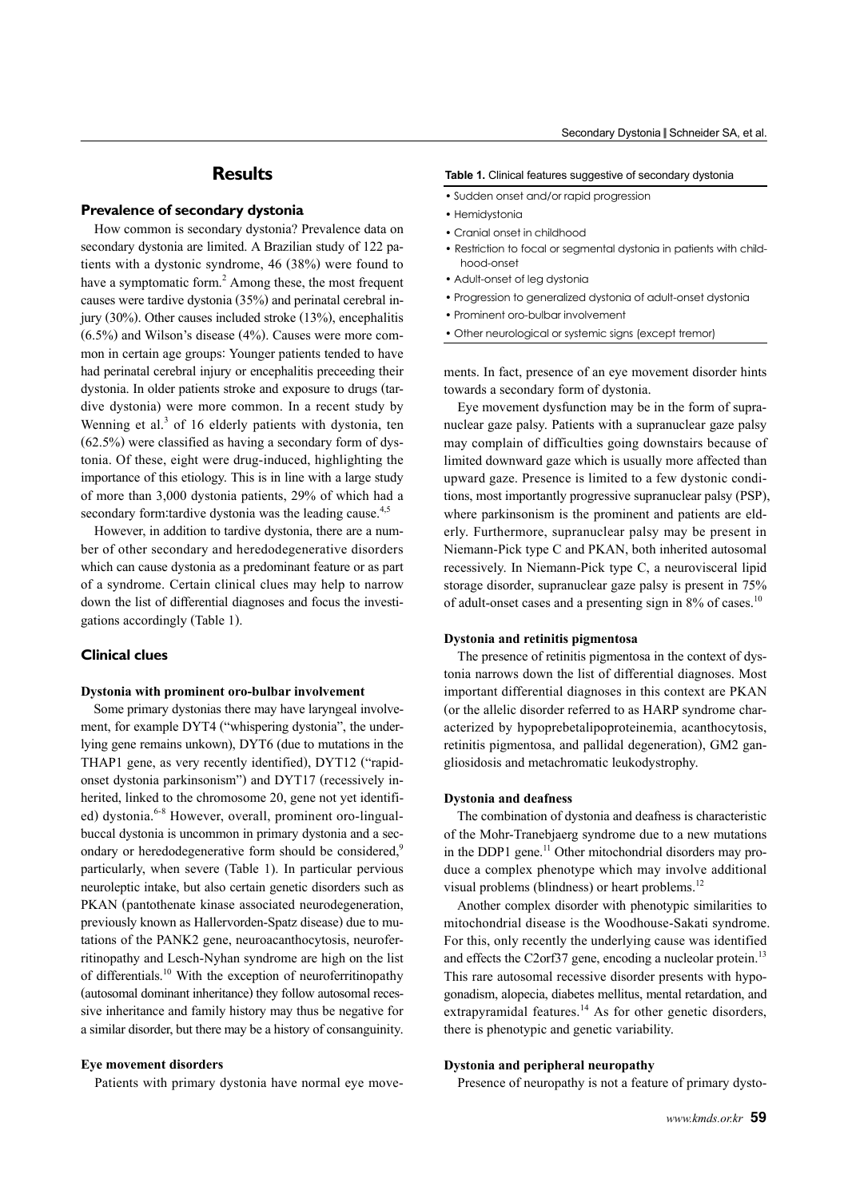# **Results**

# **Prevalence of secondary dystonia**

How common is secondary dystonia? Prevalence data on secondary dystonia are limited. A Brazilian study of 122 patients with a dystonic syndrome, 46 (38%) were found to have a symptomatic form. $<sup>2</sup>$  Among these, the most frequent</sup> causes were tardive dystonia (35%) and perinatal cerebral injury (30%). Other causes included stroke (13%), encephalitis (6.5%) and Wilson's disease (4%). Causes were more common in certain age groups: Younger patients tended to have had perinatal cerebral injury or encephalitis preceeding their dystonia. In older patients stroke and exposure to drugs (tardive dystonia) were more common. In a recent study by Wenning et al.<sup>3</sup> of 16 elderly patients with dystonia, ten (62.5%) were classified as having a secondary form of dystonia. Of these, eight were drug-induced, highlighting the importance of this etiology. This is in line with a large study of more than 3,000 dystonia patients, 29% of which had a secondary form: tardive dystonia was the leading cause.<sup>4,5</sup>

However, in addition to tardive dystonia, there are a number of other secondary and heredodegenerative disorders which can cause dystonia as a predominant feature or as part of a syndrome. Certain clinical clues may help to narrow down the list of differential diagnoses and focus the investigations accordingly (Table 1).

# **Clinical clues**

#### **Dystonia with prominent oro-bulbar involvement**

Some primary dystonias there may have laryngeal involvement, for example DYT4 ("whispering dystonia", the underlying gene remains unkown), DYT6 (due to mutations in the THAP1 gene, as very recently identified), DYT12 ("rapidonset dystonia parkinsonism") and DYT17 (recessively inherited, linked to the chromosome 20, gene not yet identified) dystonia.<sup>6-8</sup> However, overall, prominent oro-lingualbuccal dystonia is uncommon in primary dystonia and a secondary or heredodegenerative form should be considered,<sup>9</sup> particularly, when severe (Table 1). In particular pervious neuroleptic intake, but also certain genetic disorders such as PKAN (pantothenate kinase associated neurodegeneration, previously known as Hallervorden-Spatz disease) due to mutations of the PANK2 gene, neuroacanthocytosis, neuroferritinopathy and Lesch-Nyhan syndrome are high on the list of differentials.10 With the exception of neuroferritinopathy (autosomal dominant inheritance) they follow autosomal recessive inheritance and family history may thus be negative for a similar disorder, but there may be a history of consanguinity.

# **Eye movement disorders**

Patients with primary dystonia have normal eye move-

#### **Table 1.** Clinical features suggestive of secondary dystonia

- Sudden onset and/or rapid progression
- Hemidystonia
- Cranial onset in childhood
- Restriction to focal or segmental dystonia in patients with childhood-onset
- Adult-onset of leg dystonia
- Progression to generalized dystonia of adult-onset dystonia
- Prominent oro-bulbar involvement
- Other neurological or systemic signs (except tremor)

ments. In fact, presence of an eye movement disorder hints towards a secondary form of dystonia.

Eye movement dysfunction may be in the form of supranuclear gaze palsy. Patients with a supranuclear gaze palsy may complain of difficulties going downstairs because of limited downward gaze which is usually more affected than upward gaze. Presence is limited to a few dystonic conditions, most importantly progressive supranuclear palsy (PSP), where parkinsonism is the prominent and patients are elderly. Furthermore, supranuclear palsy may be present in Niemann-Pick type C and PKAN, both inherited autosomal recessively. In Niemann-Pick type C, a neurovisceral lipid storage disorder, supranuclear gaze palsy is present in 75% of adult-onset cases and a presenting sign in 8% of cases.10

### **Dystonia and retinitis pigmentosa**

The presence of retinitis pigmentosa in the context of dystonia narrows down the list of differential diagnoses. Most important differential diagnoses in this context are PKAN (or the allelic disorder referred to as HARP syndrome characterized by hypoprebetalipoproteinemia, acanthocytosis, retinitis pigmentosa, and pallidal degeneration), GM2 gangliosidosis and metachromatic leukodystrophy.

# **Dystonia and deafness**

The combination of dystonia and deafness is characteristic of the Mohr-Tranebjaerg syndrome due to a new mutations in the DDP1 gene.<sup>11</sup> Other mitochondrial disorders may produce a complex phenotype which may involve additional visual problems (blindness) or heart problems.<sup>12</sup>

Another complex disorder with phenotypic similarities to mitochondrial disease is the Woodhouse-Sakati syndrome. For this, only recently the underlying cause was identified and effects the C2orf37 gene, encoding a nucleolar protein.<sup>13</sup> This rare autosomal recessive disorder presents with hypogonadism, alopecia, diabetes mellitus, mental retardation, and extrapyramidal features.<sup>14</sup> As for other genetic disorders, there is phenotypic and genetic variability.

# **Dystonia and peripheral neuropathy**

Presence of neuropathy is not a feature of primary dysto-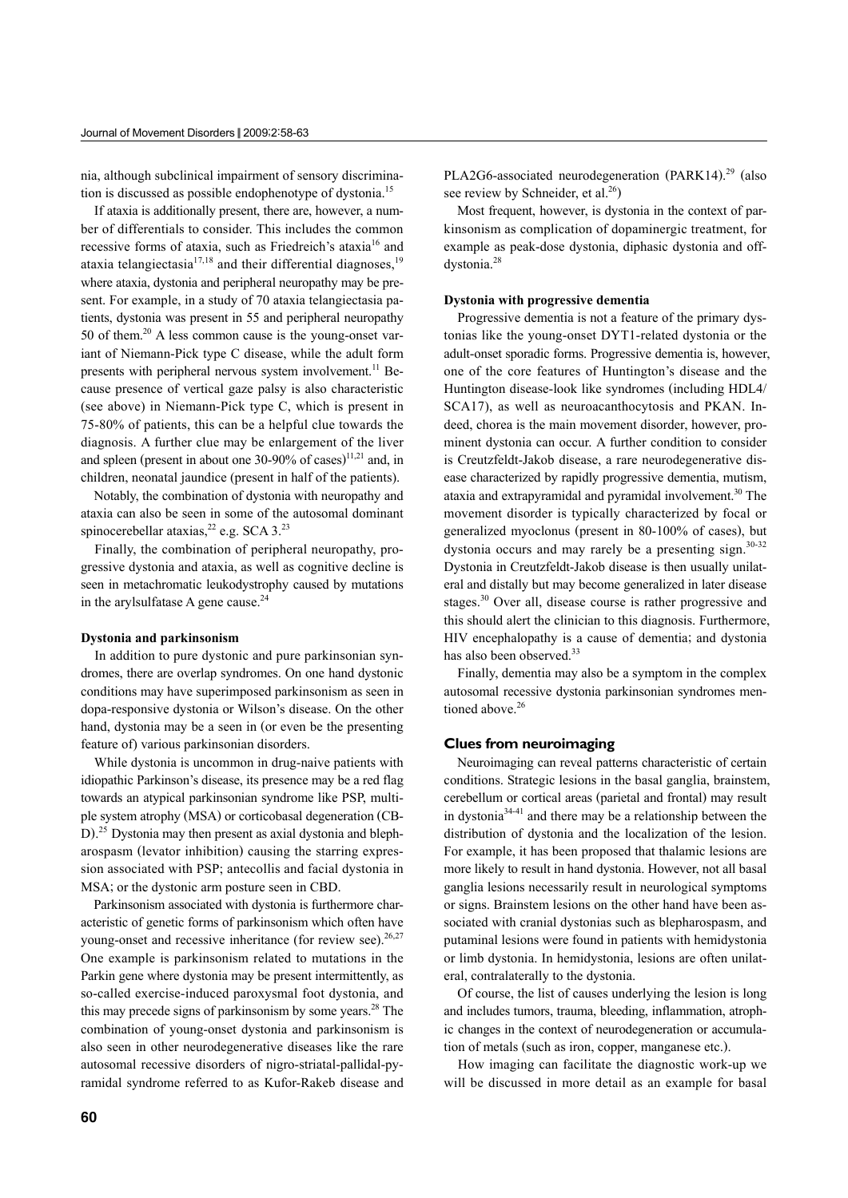nia, although subclinical impairment of sensory discrimination is discussed as possible endophenotype of dystonia.15

If ataxia is additionally present, there are, however, a number of differentials to consider. This includes the common recessive forms of ataxia, such as Friedreich's ataxia<sup>16</sup> and ataxia telangiectasia<sup>17,18</sup> and their differential diagnoses,<sup>19</sup> where ataxia, dystonia and peripheral neuropathy may be present. For example, in a study of 70 ataxia telangiectasia patients, dystonia was present in 55 and peripheral neuropathy 50 of them.20 A less common cause is the young-onset variant of Niemann-Pick type C disease, while the adult form presents with peripheral nervous system involvement.<sup>11</sup> Because presence of vertical gaze palsy is also characteristic (see above) in Niemann-Pick type C, which is present in 75-80% of patients, this can be a helpful clue towards the diagnosis. A further clue may be enlargement of the liver and spleen (present in about one 30-90% of cases) $11,21$  and, in children, neonatal jaundice (present in half of the patients).

Notably, the combination of dystonia with neuropathy and ataxia can also be seen in some of the autosomal dominant spinocerebellar ataxias,  $^{22}$  e.g. SCA 3. $^{23}$ 

Finally, the combination of peripheral neuropathy, progressive dystonia and ataxia, as well as cognitive decline is seen in metachromatic leukodystrophy caused by mutations in the aryl sulfatase A gene cause.<sup>24</sup>

### **Dystonia and parkinsonism**

In addition to pure dystonic and pure parkinsonian syndromes, there are overlap syndromes. On one hand dystonic conditions may have superimposed parkinsonism as seen in dopa-responsive dystonia or Wilson's disease. On the other hand, dystonia may be a seen in (or even be the presenting feature of) various parkinsonian disorders.

While dystonia is uncommon in drug-naive patients with idiopathic Parkinson's disease, its presence may be a red flag towards an atypical parkinsonian syndrome like PSP, multiple system atrophy (MSA) or corticobasal degeneration (CB-D). 25 Dystonia may then present as axial dystonia and blepharospasm (levator inhibition) causing the starring expression associated with PSP; antecollis and facial dystonia in MSA; or the dystonic arm posture seen in CBD.

Parkinsonism associated with dystonia is furthermore characteristic of genetic forms of parkinsonism which often have young-onset and recessive inheritance (for review see).<sup>26,27</sup> One example is parkinsonism related to mutations in the Parkin gene where dystonia may be present intermittently, as so-called exercise-induced paroxysmal foot dystonia, and this may precede signs of parkinsonism by some years.<sup>28</sup> The combination of young-onset dystonia and parkinsonism is also seen in other neurodegenerative diseases like the rare autosomal recessive disorders of nigro-striatal-pallidal-pyramidal syndrome referred to as Kufor-Rakeb disease and

PLA2G6-associated neurodegeneration (PARK14). <sup>29</sup> (also see review by Schneider, et al. $^{26}$ )

Most frequent, however, is dystonia in the context of parkinsonism as complication of dopaminergic treatment, for example as peak-dose dystonia, diphasic dystonia and offdystonia.28

#### **Dystonia with progressive dementia**

Progressive dementia is not a feature of the primary dystonias like the young-onset DYT1-related dystonia or the adult-onset sporadic forms. Progressive dementia is, however, one of the core features of Huntington's disease and the Huntington disease-look like syndromes (including HDL4/ SCA17), as well as neuroacanthocytosis and PKAN. Indeed, chorea is the main movement disorder, however, prominent dystonia can occur. A further condition to consider is Creutzfeldt-Jakob disease, a rare neurodegenerative disease characterized by rapidly progressive dementia, mutism, ataxia and extrapyramidal and pyramidal involvement.<sup>30</sup> The movement disorder is typically characterized by focal or generalized myoclonus (present in 80-100% of cases), but dystonia occurs and may rarely be a presenting sign.<sup>30-32</sup> Dystonia in Creutzfeldt-Jakob disease is then usually unilateral and distally but may become generalized in later disease stages.<sup>30</sup> Over all, disease course is rather progressive and this should alert the clinician to this diagnosis. Furthermore, HIV encephalopathy is a cause of dementia; and dystonia has also been observed.<sup>33</sup>

Finally, dementia may also be a symptom in the complex autosomal recessive dystonia parkinsonian syndromes mentioned above.<sup>26</sup>

# **Clues from neuroimaging**

Neuroimaging can reveal patterns characteristic of certain conditions. Strategic lesions in the basal ganglia, brainstem, cerebellum or cortical areas (parietal and frontal) may result in dystonia $34-41$  and there may be a relationship between the distribution of dystonia and the localization of the lesion. For example, it has been proposed that thalamic lesions are more likely to result in hand dystonia. However, not all basal ganglia lesions necessarily result in neurological symptoms or signs. Brainstem lesions on the other hand have been associated with cranial dystonias such as blepharospasm, and putaminal lesions were found in patients with hemidystonia or limb dystonia. In hemidystonia, lesions are often unilateral, contralaterally to the dystonia.

Of course, the list of causes underlying the lesion is long and includes tumors, trauma, bleeding, inflammation, atrophic changes in the context of neurodegeneration or accumulation of metals (such as iron, copper, manganese etc.).

How imaging can facilitate the diagnostic work-up we will be discussed in more detail as an example for basal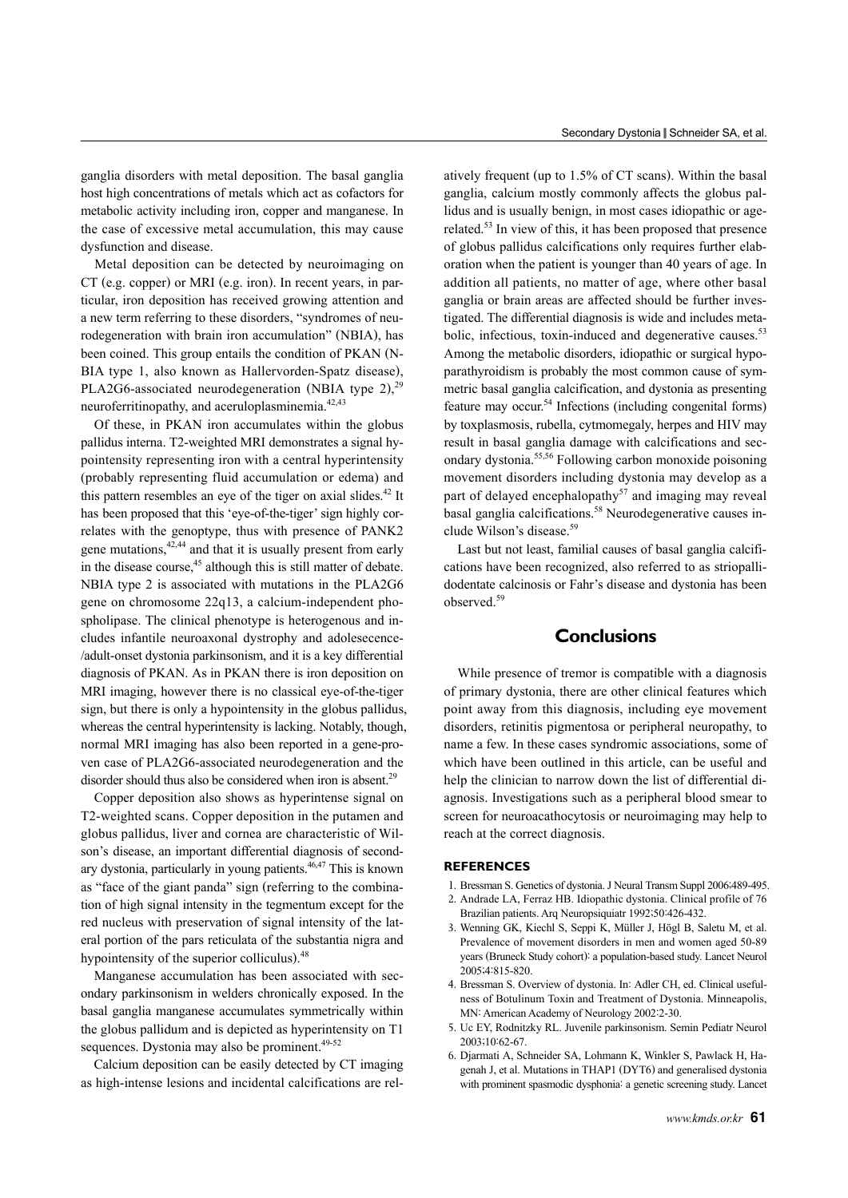ganglia disorders with metal deposition. The basal ganglia host high concentrations of metals which act as cofactors for metabolic activity including iron, copper and manganese. In the case of excessive metal accumulation, this may cause dysfunction and disease.

Metal deposition can be detected by neuroimaging on CT (e.g. copper) or MRI (e.g. iron). In recent years, in particular, iron deposition has received growing attention and a new term referring to these disorders, "syndromes of neurodegeneration with brain iron accumulation" (NBIA), has been coined. This group entails the condition of PKAN (N-BIA type 1, also known as Hallervorden-Spatz disease), PLA2G6-associated neurodegeneration (NBIA type 2), $^{29}$ neuroferritinopathy, and aceruloplasminemia.<sup>42,43</sup>

Of these, in PKAN iron accumulates within the globus pallidus interna. T2-weighted MRI demonstrates a signal hypointensity representing iron with a central hyperintensity (probably representing fluid accumulation or edema) and this pattern resembles an eye of the tiger on axial slides. $42$  It has been proposed that this 'eye-of-the-tiger' sign highly correlates with the genoptype, thus with presence of PANK2 gene mutations, $42,44$  and that it is usually present from early in the disease course,<sup>45</sup> although this is still matter of debate. NBIA type 2 is associated with mutations in the PLA2G6 gene on chromosome 22q13, a calcium-independent phospholipase. The clinical phenotype is heterogenous and includes infantile neuroaxonal dystrophy and adolesecence- /adult-onset dystonia parkinsonism, and it is a key differential diagnosis of PKAN. As in PKAN there is iron deposition on MRI imaging, however there is no classical eye-of-the-tiger sign, but there is only a hypointensity in the globus pallidus, whereas the central hyperintensity is lacking. Notably, though, normal MRI imaging has also been reported in a gene-proven case of PLA2G6-associated neurodegeneration and the disorder should thus also be considered when iron is absent.<sup>29</sup>

Copper deposition also shows as hyperintense signal on T2-weighted scans. Copper deposition in the putamen and globus pallidus, liver and cornea are characteristic of Wilson's disease, an important differential diagnosis of secondary dystonia, particularly in young patients. $46,47$  This is known as "face of the giant panda" sign (referring to the combination of high signal intensity in the tegmentum except for the red nucleus with preservation of signal intensity of the lateral portion of the pars reticulata of the substantia nigra and hypointensity of the superior colliculus).<sup>48</sup>

Manganese accumulation has been associated with secondary parkinsonism in welders chronically exposed. In the basal ganglia manganese accumulates symmetrically within the globus pallidum and is depicted as hyperintensity on T1 sequences. Dystonia may also be prominent.<sup>49-52</sup>

Calcium deposition can be easily detected by CT imaging as high-intense lesions and incidental calcifications are relatively frequent (up to 1.5% of CT scans). Within the basal ganglia, calcium mostly commonly affects the globus pallidus and is usually benign, in most cases idiopathic or agerelated.53 In view of this, it has been proposed that presence of globus pallidus calcifications only requires further elaboration when the patient is younger than 40 years of age. In addition all patients, no matter of age, where other basal ganglia or brain areas are affected should be further investigated. The differential diagnosis is wide and includes metabolic, infectious, toxin-induced and degenerative causes.<sup>53</sup> Among the metabolic disorders, idiopathic or surgical hypoparathyroidism is probably the most common cause of symmetric basal ganglia calcification, and dystonia as presenting feature may occur.<sup>54</sup> Infections (including congenital forms) by toxplasmosis, rubella, cytmomegaly, herpes and HIV may result in basal ganglia damage with calcifications and secondary dystonia.55,56 Following carbon monoxide poisoning movement disorders including dystonia may develop as a part of delayed encephalopathy<sup>57</sup> and imaging may reveal basal ganglia calcifications.<sup>58</sup> Neurodegenerative causes include Wilson's disease.<sup>59</sup>

Last but not least, familial causes of basal ganglia calcifications have been recognized, also referred to as striopallidodentate calcinosis or Fahr's disease and dystonia has been observed.<sup>59</sup>

# **Conclusions**

While presence of tremor is compatible with a diagnosis of primary dystonia, there are other clinical features which point away from this diagnosis, including eye movement disorders, retinitis pigmentosa or peripheral neuropathy, to name a few. In these cases syndromic associations, some of which have been outlined in this article, can be useful and help the clinician to narrow down the list of differential diagnosis. Investigations such as a peripheral blood smear to screen for neuroacathocytosis or neuroimaging may help to reach at the correct diagnosis.

# **REFERENCES**

- 1. Bressman S. Genetics of dystonia. J Neural Transm Suppl 2006;489-495.
- 2. Andrade LA, Ferraz HB. Idiopathic dystonia. Clinical profile of 76 Brazilian patients. Arq Neuropsiquiatr 1992;50:426-432.
- 3. Wenning GK, Kiechl S, Seppi K, Müller J, Högl B, Saletu M, et al. Prevalence of movement disorders in men and women aged 50-89 years (Bruneck Study cohort): a population-based study. Lancet Neurol 2005;4:815-820.
- 4. Bressman S. Overview of dystonia. In: Adler CH, ed. Clinical usefulness of Botulinum Toxin and Treatment of Dystonia. Minneapolis, MN: American Academy of Neurology 2002:2-30.
- 5. Uc EY, Rodnitzky RL. Juvenile parkinsonism. Semin Pediatr Neurol 2003;10:62-67.
- 6. Djarmati A, Schneider SA, Lohmann K, Winkler S, Pawlack H, Hagenah J, et al. Mutations in THAP1 (DYT6) and generalised dystonia with prominent spasmodic dysphonia: a genetic screening study. Lancet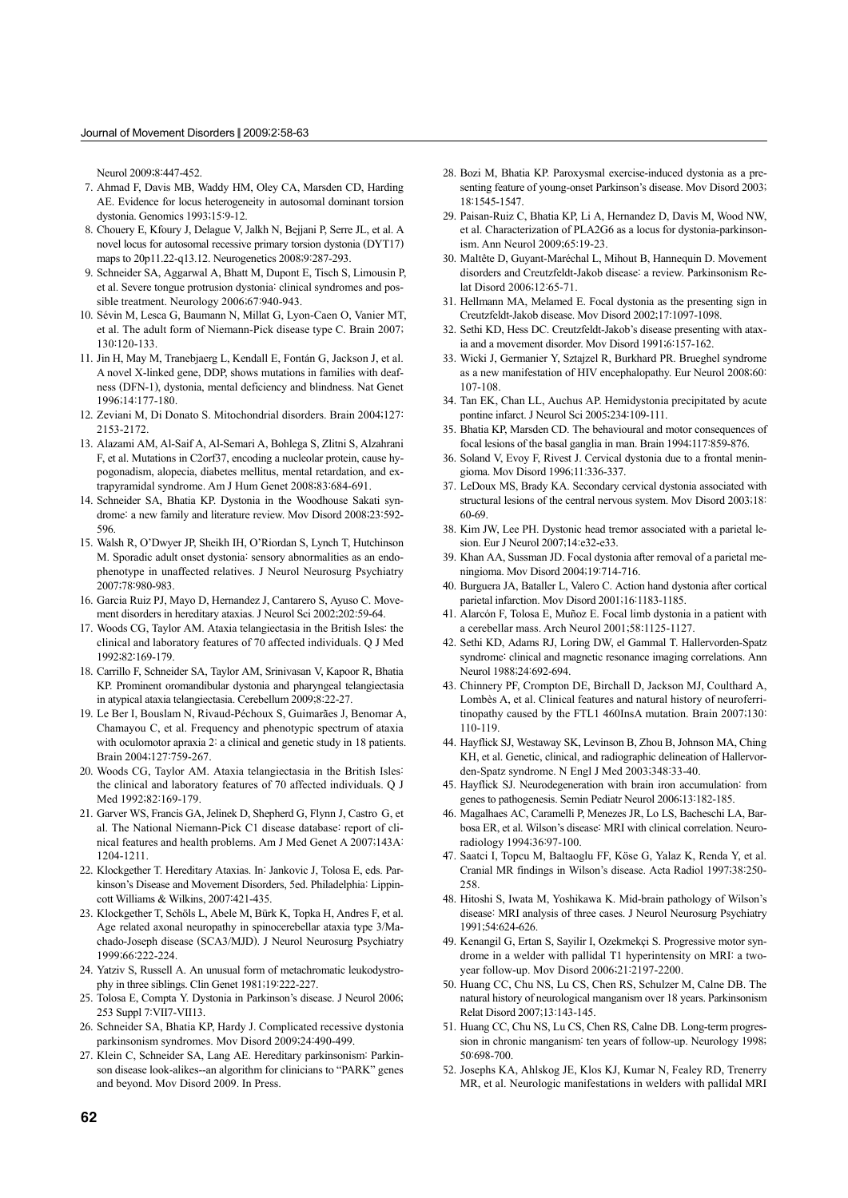Neurol 2009;8:447-452.

- 7. Ahmad F, Davis MB, Waddy HM, Oley CA, Marsden CD, Harding AE. Evidence for locus heterogeneity in autosomal dominant torsion dystonia. Genomics 1993;15:9-12.
- 8. Chouery E, Kfoury J, Delague V, Jalkh N, Bejjani P, Serre JL, et al. A novel locus for autosomal recessive primary torsion dystonia (DYT17) maps to 20p11.22-q13.12. Neurogenetics 2008;9:287-293.
- 9. Schneider SA, Aggarwal A, Bhatt M, Dupont E, Tisch S, Limousin P, et al. Severe tongue protrusion dystonia: clinical syndromes and possible treatment. Neurology 2006;67:940-943.
- 10. Sévin M, Lesca G, Baumann N, Millat G, Lyon-Caen O, Vanier MT, et al. The adult form of Niemann-Pick disease type C. Brain 2007; 130:120-133.
- 11. Jin H, May M, Tranebjaerg L, Kendall E, Fontán G, Jackson J, et al. A novel X-linked gene, DDP, shows mutations in families with deafness (DFN-1), dystonia, mental deficiency and blindness. Nat Genet 1996;14:177-180.
- 12. Zeviani M, Di Donato S. Mitochondrial disorders. Brain 2004;127: 2153-2172.
- 13. Alazami AM, Al-Saif A, Al-Semari A, Bohlega S, Zlitni S, Alzahrani F, et al. Mutations in C2orf37, encoding a nucleolar protein, cause hypogonadism, alopecia, diabetes mellitus, mental retardation, and extrapyramidal syndrome. Am J Hum Genet 2008;83:684-691.
- 14. Schneider SA, Bhatia KP. Dystonia in the Woodhouse Sakati syndrome: a new family and literature review. Mov Disord 2008;23:592- 596.
- 15. Walsh R, O'Dwyer JP, Sheikh IH, O'Riordan S, Lynch T, Hutchinson M. Sporadic adult onset dystonia: sensory abnormalities as an endophenotype in unaffected relatives. J Neurol Neurosurg Psychiatry 2007;78:980-983.
- 16. Garcia Ruiz PJ, Mayo D, Hernandez J, Cantarero S, Ayuso C. Movement disorders in hereditary ataxias. J Neurol Sci 2002;202:59-64.
- 17. Woods CG, Taylor AM. Ataxia telangiectasia in the British Isles: the clinical and laboratory features of 70 affected individuals. Q J Med 1992;82:169-179.
- 18. Carrillo F, Schneider SA, Taylor AM, Srinivasan V, Kapoor R, Bhatia KP. Prominent oromandibular dystonia and pharyngeal telangiectasia in atypical ataxia telangiectasia. Cerebellum 2009;8:22-27.
- 19. Le Ber I, Bouslam N, Rivaud-Péchoux S, Guimarães J, Benomar A, Chamayou C, et al. Frequency and phenotypic spectrum of ataxia with oculomotor apraxia 2: a clinical and genetic study in 18 patients. Brain 2004;127:759-267.
- 20. Woods CG, Taylor AM. Ataxia telangiectasia in the British Isles: the clinical and laboratory features of 70 affected individuals. Q J Med 1992;82:169-179.
- 21. Garver WS, Francis GA, Jelinek D, Shepherd G, Flynn J, Castro G, et al. The National Niemann-Pick C1 disease database: report of clinical features and health problems. Am J Med Genet A 2007;143A: 1204-1211.
- 22. Klockgether T. Hereditary Ataxias. In: Jankovic J, Tolosa E, eds. Parkinson's Disease and Movement Disorders, 5ed. Philadelphia: Lippincott Williams & Wilkins, 2007:421-435.
- 23. Klockgether T, Schöls L, Abele M, Bürk K, Topka H, Andres F, et al. Age related axonal neuropathy in spinocerebellar ataxia type 3/Machado-Joseph disease (SCA3/MJD). J Neurol Neurosurg Psychiatry 1999;66:222-224.
- 24. Yatziv S, Russell A. An unusual form of metachromatic leukodystrophy in three siblings. Clin Genet 1981;19:222-227.
- 25. Tolosa E, Compta Y. Dystonia in Parkinson's disease. J Neurol 2006; 253 Suppl 7:VII7-VII13.
- 26. Schneider SA, Bhatia KP, Hardy J. Complicated recessive dystonia parkinsonism syndromes. Mov Disord 2009;24:490-499.
- 27. Klein C, Schneider SA, Lang AE. Hereditary parkinsonism: Parkinson disease look-alikes--an algorithm for clinicians to "PARK" genes and beyond. Mov Disord 2009. In Press.
- 28. Bozi M, Bhatia KP. Paroxysmal exercise-induced dystonia as a presenting feature of young-onset Parkinson's disease. Mov Disord 2003; 18:1545-1547.
- 29. Paisan-Ruiz C, Bhatia KP, Li A, Hernandez D, Davis M, Wood NW, et al. Characterization of PLA2G6 as a locus for dystonia-parkinsonism. Ann Neurol 2009;65:19-23.
- 30. Maltête D, Guyant-Maréchal L, Mihout B, Hannequin D. Movement disorders and Creutzfeldt-Jakob disease: a review. Parkinsonism Relat Disord 2006;12:65-71.
- 31. Hellmann MA, Melamed E. Focal dystonia as the presenting sign in Creutzfeldt-Jakob disease. Mov Disord 2002;17:1097-1098.
- 32. Sethi KD, Hess DC. Creutzfeldt-Jakob's disease presenting with ataxia and a movement disorder. Mov Disord 1991;6:157-162.
- 33. Wicki J, Germanier Y, Sztajzel R, Burkhard PR. Brueghel syndrome as a new manifestation of HIV encephalopathy. Eur Neurol 2008;60: 107-108.
- 34. Tan EK, Chan LL, Auchus AP. Hemidystonia precipitated by acute pontine infarct. J Neurol Sci 2005;234:109-111.
- 35. Bhatia KP, Marsden CD. The behavioural and motor consequences of focal lesions of the basal ganglia in man. Brain 1994;117:859-876.
- 36. Soland V, Evoy F, Rivest J. Cervical dystonia due to a frontal meningioma. Mov Disord 1996;11:336-337.
- 37. LeDoux MS, Brady KA. Secondary cervical dystonia associated with structural lesions of the central nervous system. Mov Disord 2003;18: 60-69.
- 38. Kim JW, Lee PH. Dystonic head tremor associated with a parietal lesion. Eur J Neurol 2007;14:e32-e33.
- 39. Khan AA, Sussman JD. Focal dystonia after removal of a parietal meningioma. Mov Disord 2004;19:714-716.
- 40. Burguera JA, Bataller L, Valero C. Action hand dystonia after cortical parietal infarction. Mov Disord 2001;16:1183-1185.
- 41. Alarcón F, Tolosa E, Muñoz E. Focal limb dystonia in a patient with a cerebellar mass. Arch Neurol 2001;58:1125-1127.
- 42. Sethi KD, Adams RJ, Loring DW, el Gammal T. Hallervorden-Spatz syndrome: clinical and magnetic resonance imaging correlations. Ann Neurol 1988;24:692-694.
- 43. Chinnery PF, Crompton DE, Birchall D, Jackson MJ, Coulthard A, Lombès A, et al. Clinical features and natural history of neuroferritinopathy caused by the FTL1 460InsA mutation. Brain 2007;130: 110-119.
- 44. Hayflick SJ, Westaway SK, Levinson B, Zhou B, Johnson MA, Ching KH, et al. Genetic, clinical, and radiographic delineation of Hallervorden-Spatz syndrome. N Engl J Med 2003;348:33-40.
- 45. Hayflick SJ. Neurodegeneration with brain iron accumulation: from genes to pathogenesis. Semin Pediatr Neurol 2006;13:182-185.
- 46. Magalhaes AC, Caramelli P, Menezes JR, Lo LS, Bacheschi LA, Barbosa ER, et al. Wilson's disease: MRI with clinical correlation. Neuroradiology 1994;36:97-100.
- 47. Saatci I, Topcu M, Baltaoglu FF, Köse G, Yalaz K, Renda Y, et al. Cranial MR findings in Wilson's disease. Acta Radiol 1997;38:250- 258.
- 48. Hitoshi S, Iwata M, Yoshikawa K. Mid-brain pathology of Wilson's disease: MRI analysis of three cases. J Neurol Neurosurg Psychiatry 1991;54:624-626.
- 49. Kenangil G, Ertan S, Sayilir I, Ozekmekçi S. Progressive motor syndrome in a welder with pallidal T1 hyperintensity on MRI: a twoyear follow-up. Mov Disord 2006;21:2197-2200.
- 50. Huang CC, Chu NS, Lu CS, Chen RS, Schulzer M, Calne DB. The natural history of neurological manganism over 18 years. Parkinsonism Relat Disord 2007;13:143-145.
- 51. Huang CC, Chu NS, Lu CS, Chen RS, Calne DB. Long-term progression in chronic manganism: ten years of follow-up. Neurology 1998; 50:698-700.
- 52. Josephs KA, Ahlskog JE, Klos KJ, Kumar N, Fealey RD, Trenerry MR, et al. Neurologic manifestations in welders with pallidal MRI